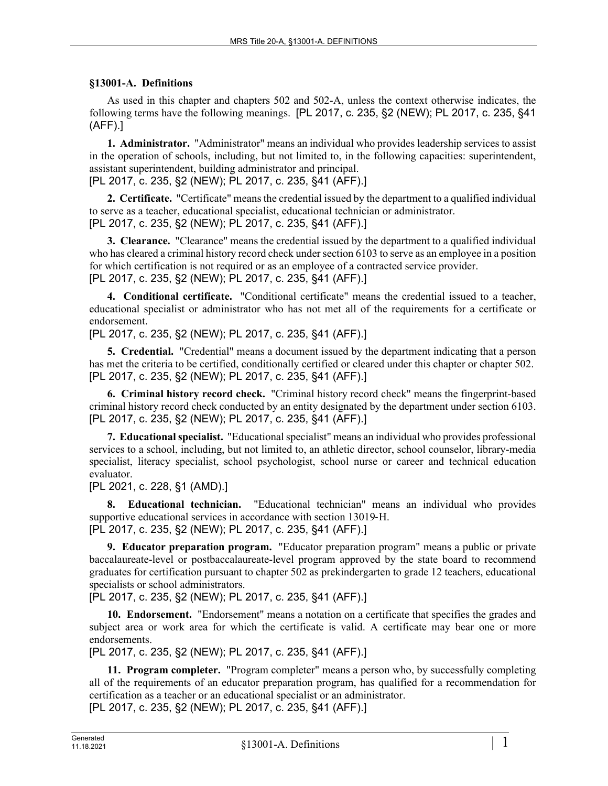## **§13001-A. Definitions**

As used in this chapter and chapters 502 and 502-A, unless the context otherwise indicates, the following terms have the following meanings. [PL 2017, c. 235, §2 (NEW); PL 2017, c. 235, §41 (AFF).]

**1. Administrator.** "Administrator" means an individual who provides leadership services to assist in the operation of schools, including, but not limited to, in the following capacities: superintendent, assistant superintendent, building administrator and principal.

[PL 2017, c. 235, §2 (NEW); PL 2017, c. 235, §41 (AFF).]

**2. Certificate.** "Certificate" means the credential issued by the department to a qualified individual to serve as a teacher, educational specialist, educational technician or administrator. [PL 2017, c. 235, §2 (NEW); PL 2017, c. 235, §41 (AFF).]

**3. Clearance.** "Clearance" means the credential issued by the department to a qualified individual who has cleared a criminal history record check under section 6103 to serve as an employee in a position for which certification is not required or as an employee of a contracted service provider. [PL 2017, c. 235, §2 (NEW); PL 2017, c. 235, §41 (AFF).]

**4. Conditional certificate.** "Conditional certificate" means the credential issued to a teacher, educational specialist or administrator who has not met all of the requirements for a certificate or endorsement.

[PL 2017, c. 235, §2 (NEW); PL 2017, c. 235, §41 (AFF).]

**5. Credential.** "Credential" means a document issued by the department indicating that a person has met the criteria to be certified, conditionally certified or cleared under this chapter or chapter 502. [PL 2017, c. 235, §2 (NEW); PL 2017, c. 235, §41 (AFF).]

**6. Criminal history record check.** "Criminal history record check" means the fingerprint-based criminal history record check conducted by an entity designated by the department under section 6103. [PL 2017, c. 235, §2 (NEW); PL 2017, c. 235, §41 (AFF).]

**7. Educational specialist.** "Educational specialist" means an individual who provides professional services to a school, including, but not limited to, an athletic director, school counselor, library-media specialist, literacy specialist, school psychologist, school nurse or career and technical education evaluator.

[PL 2021, c. 228, §1 (AMD).]

**8. Educational technician.** "Educational technician" means an individual who provides supportive educational services in accordance with section 13019-H. [PL 2017, c. 235, §2 (NEW); PL 2017, c. 235, §41 (AFF).]

**9. Educator preparation program.** "Educator preparation program" means a public or private baccalaureate-level or postbaccalaureate-level program approved by the state board to recommend graduates for certification pursuant to chapter 502 as prekindergarten to grade 12 teachers, educational specialists or school administrators.

[PL 2017, c. 235, §2 (NEW); PL 2017, c. 235, §41 (AFF).]

**10. Endorsement.** "Endorsement" means a notation on a certificate that specifies the grades and subject area or work area for which the certificate is valid. A certificate may bear one or more endorsements.

[PL 2017, c. 235, §2 (NEW); PL 2017, c. 235, §41 (AFF).]

**11. Program completer.** "Program completer" means a person who, by successfully completing all of the requirements of an educator preparation program, has qualified for a recommendation for certification as a teacher or an educational specialist or an administrator.

[PL 2017, c. 235, §2 (NEW); PL 2017, c. 235, §41 (AFF).]